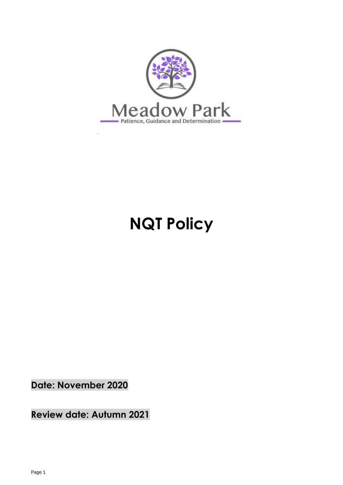

# **NQT Policy**

**Date: November 2020**

**Review date: Autumn 2021**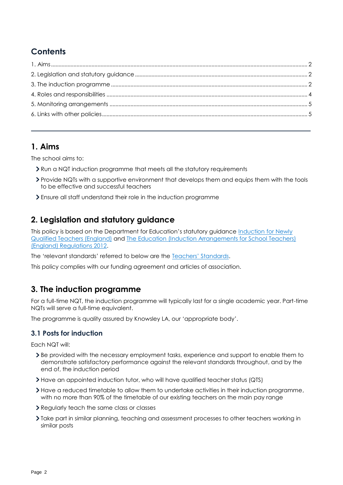# **Contents**

## <span id="page-1-0"></span>**1. Aims**

The school aims to:

- Run a NQT induction programme that meets all the statutory requirements
- Provide NQTs with a supportive environment that develops them and equips them with the tools to be effective and successful teachers
- Ensure all staff understand their role in the induction programme

# <span id="page-1-1"></span>**2. Legislation and statutory guidance**

This policy is based on the Department for Education's statutory guidance [Induction for Newly](https://www.gov.uk/government/publications/induction-for-newly-qualified-teachers-nqts)  [Qualified Teachers \(England\)](https://www.gov.uk/government/publications/induction-for-newly-qualified-teachers-nqts) and [The Education \(Induction Arrangements for School Teachers\)](http://www.legislation.gov.uk/uksi/2012/1115/contents/made)  [\(England\) Regulations 2012.](http://www.legislation.gov.uk/uksi/2012/1115/contents/made)

The 'relevant standards' referred to below are the [Teachers' Standards](https://www.gov.uk/government/publications/teachers-standards).

This policy complies with our funding agreement and articles of association.

# <span id="page-1-2"></span>**3. The induction programme**

For a full-time NQT, the induction programme will typically last for a single academic year. Part-time NQTs will serve a full-time equivalent.

The programme is quality assured by Knowsley LA, our 'appropriate body'.

### **3.1 Posts for induction**

Each NQT will:

- Be provided with the necessary employment tasks, experience and support to enable them to demonstrate satisfactory performance against the relevant standards throughout, and by the end of, the induction period
- Have an appointed induction tutor, who will have qualified teacher status (QTS)
- Have a reduced timetable to allow them to undertake activities in their induction programme, with no more than 90% of the timetable of our existing teachers on the main pay range
- Regularly teach the same class or classes
- Take part in similar planning, teaching and assessment processes to other teachers working in similar posts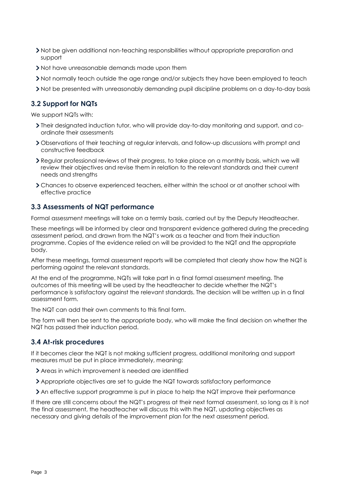- Not be given additional non-teaching responsibilities without appropriate preparation and support
- Not have unreasonable demands made upon them
- Not normally teach outside the age range and/or subjects they have been employed to teach
- Not be presented with unreasonably demanding pupil discipline problems on a day-to-day basis

#### **3.2 Support for NQTs**

We support NQTs with:

- Their designated induction tutor, who will provide day-to-day monitoring and support, and coordinate their assessments
- Observations of their teaching at regular intervals, and follow-up discussions with prompt and constructive feedback
- Regular professional reviews of their progress, to take place on a monthly basis, which we will review their objectives and revise them in relation to the relevant standards and their current needs and strengths
- Chances to observe experienced teachers, either within the school or at another school with effective practice

### **3.3 Assessments of NQT performance**

Formal assessment meetings will take on a termly basis, carried out by the Deputy Headteacher.

These meetings will be informed by clear and transparent evidence gathered during the preceding assessment period, and drawn from the NQT's work as a teacher and from their induction programme. Copies of the evidence relied on will be provided to the NQT and the appropriate body.

After these meetings, formal assessment reports will be completed that clearly show how the NQT is performing against the relevant standards.

At the end of the programme, NQTs will take part in a final formal assessment meeting. The outcomes of this meeting will be used by the headteacher to decide whether the NQT's performance is satisfactory against the relevant standards. The decision will be written up in a final assessment form.

The NQT can add their own comments to this final form.

The form will then be sent to the appropriate body, who will make the final decision on whether the NQT has passed their induction period.

#### **3.4 At-risk procedures**

If it becomes clear the NQT is not making sufficient progress, additional monitoring and support measures must be put in place immediately, meaning:

- Areas in which improvement is needed are identified
- Appropriate objectives are set to guide the NQT towards satisfactory performance
- An effective support programme is put in place to help the NQT improve their performance

If there are still concerns about the NQT's progress at their next formal assessment, so long as it is not the final assessment, the headteacher will discuss this with the NQT, updating objectives as necessary and giving details of the improvement plan for the next assessment period.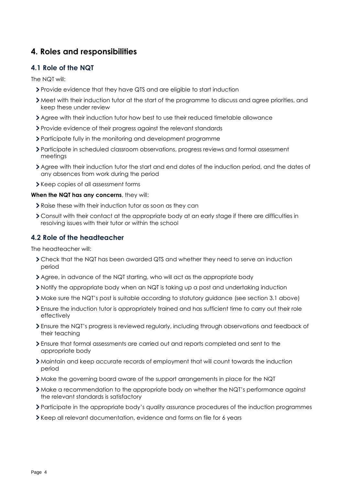# <span id="page-3-0"></span>**4. Roles and responsibilities**

#### **4.1 Role of the NQT**

The NQT will:

- Provide evidence that they have QTS and are eligible to start induction
- Meet with their induction tutor at the start of the programme to discuss and agree priorities, and keep these under review
- Agree with their induction tutor how best to use their reduced timetable allowance
- Provide evidence of their progress against the relevant standards
- Participate fully in the monitoring and development programme
- Participate in scheduled classroom observations, progress reviews and formal assessment meetings
- Agree with their induction tutor the start and end dates of the induction period, and the dates of any absences from work during the period
- > Keep copies of all assessment forms

#### **When the NQT has any concerns**, they will:

- Raise these with their induction tutor as soon as they can
- Consult with their contact at the appropriate body at an early stage if there are difficulties in resolving issues with their tutor or within the school

### **4.2 Role of the headteacher**

The headteacher will:

- Check that the NQT has been awarded QTS and whether they need to serve an induction period
- Agree, in advance of the NQT starting, who will act as the appropriate body
- Notify the appropriate body when an NQT is taking up a post and undertaking induction
- Make sure the NQT's post is suitable according to statutory guidance (see section 3.1 above)
- Ensure the induction tutor is appropriately trained and has sufficient time to carry out their role effectively
- Ensure the NQT's progress is reviewed regularly, including through observations and feedback of their teaching
- Ensure that formal assessments are carried out and reports completed and sent to the appropriate body
- Maintain and keep accurate records of employment that will count towards the induction period
- Make the governing board aware of the support arrangements in place for the NQT
- Make a recommendation to the appropriate body on whether the NQT's performance against the relevant standards is satisfactory
- Participate in the appropriate body's quality assurance procedures of the induction programmes
- Keep all relevant documentation, evidence and forms on file for 6 years